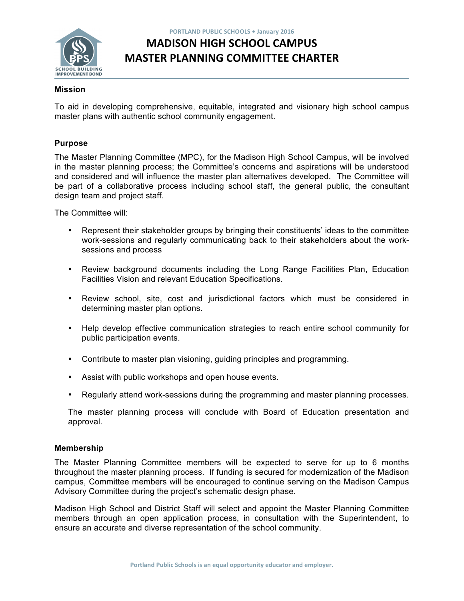**PORTLAND PUBLIC SCHOOLS . January 2016** 



# **MADISON HIGH SCHOOL CAMPUS MASTER PLANNING COMMITTEE CHARTER**

# **Mission**

To aid in developing comprehensive, equitable, integrated and visionary high school campus master plans with authentic school community engagement.

# **Purpose**

The Master Planning Committee (MPC), for the Madison High School Campus, will be involved in the master planning process; the Committee's concerns and aspirations will be understood and considered and will influence the master plan alternatives developed. The Committee will be part of a collaborative process including school staff, the general public, the consultant design team and project staff.

The Committee will:

- Represent their stakeholder groups by bringing their constituents' ideas to the committee work-sessions and regularly communicating back to their stakeholders about the worksessions and process
- Review background documents including the Long Range Facilities Plan, Education Facilities Vision and relevant Education Specifications.
- Review school, site, cost and jurisdictional factors which must be considered in determining master plan options.
- Help develop effective communication strategies to reach entire school community for public participation events.
- Contribute to master plan visioning, guiding principles and programming.
- Assist with public workshops and open house events.
- Regularly attend work-sessions during the programming and master planning processes.

The master planning process will conclude with Board of Education presentation and approval.

## **Membership**

The Master Planning Committee members will be expected to serve for up to 6 months throughout the master planning process. If funding is secured for modernization of the Madison campus, Committee members will be encouraged to continue serving on the Madison Campus Advisory Committee during the project's schematic design phase.

Madison High School and District Staff will select and appoint the Master Planning Committee members through an open application process, in consultation with the Superintendent, to ensure an accurate and diverse representation of the school community.